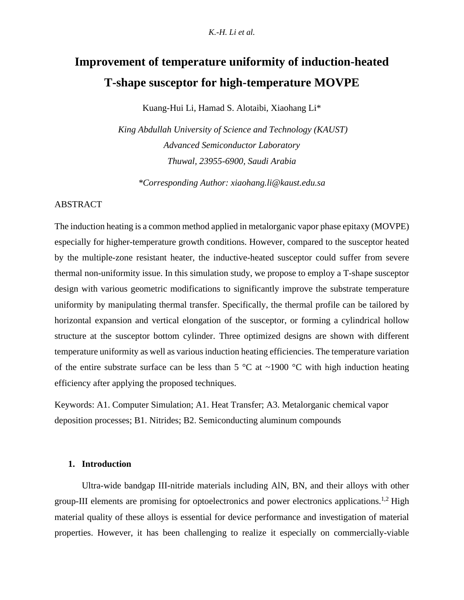# **Improvement of temperature uniformity of induction-heated T-shape susceptor for high-temperature MOVPE**

Kuang-Hui Li, Hamad S. Alotaibi, Xiaohang Li\*

*King Abdullah University of Science and Technology (KAUST) Advanced Semiconductor Laboratory Thuwal, 23955-6900, Saudi Arabia*

*\*Corresponding Author: xiaohang.li@kaust.edu.sa*

## ABSTRACT

The induction heating is a common method applied in metalorganic vapor phase epitaxy (MOVPE) especially for higher-temperature growth conditions. However, compared to the susceptor heated by the multiple-zone resistant heater, the inductive-heated susceptor could suffer from severe thermal non-uniformity issue. In this simulation study, we propose to employ a T-shape susceptor design with various geometric modifications to significantly improve the substrate temperature uniformity by manipulating thermal transfer. Specifically, the thermal profile can be tailored by horizontal expansion and vertical elongation of the susceptor, or forming a cylindrical hollow structure at the susceptor bottom cylinder. Three optimized designs are shown with different temperature uniformity as well as various induction heating efficiencies. The temperature variation of the entire substrate surface can be less than 5  $\degree$ C at ~1900  $\degree$ C with high induction heating efficiency after applying the proposed techniques.

Keywords: A1. Computer Simulation; A1. Heat Transfer; A3. Metalorganic chemical vapor deposition processes; B1. Nitrides; B2. Semiconducting aluminum compounds

## **1. Introduction**

Ultra-wide bandgap III-nitride materials including AlN, BN, and their alloys with other group-III elements are promising for optoelectronics and power electronics applications.<sup>1,2</sup> High material quality of these alloys is essential for device performance and investigation of material properties. However, it has been challenging to realize it especially on commercially-viable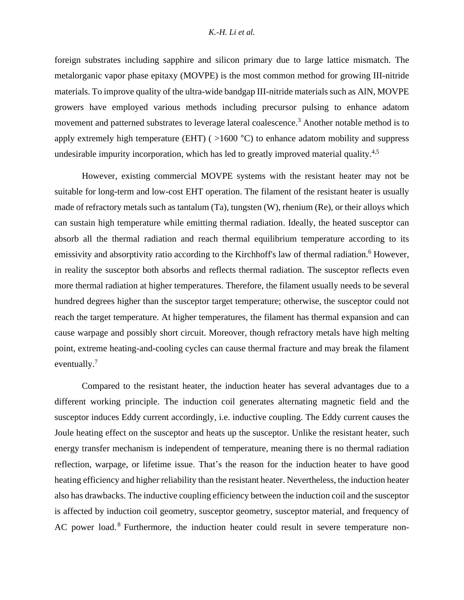foreign substrates including sapphire and silicon primary due to large lattice mismatch. The metalorganic vapor phase epitaxy (MOVPE) is the most common method for growing III-nitride materials. To improve quality of the ultra-wide bandgap III-nitride materials such as AlN, MOVPE growers have employed various methods including precursor pulsing to enhance adatom movement and patterned substrates to leverage lateral coalescence.<sup>3</sup> Another notable method is to apply extremely high temperature (EHT) ( >1600 °C) to enhance adatom mobility and suppress undesirable impurity incorporation, which has led to greatly improved material quality.<sup>4,5</sup>

However, existing commercial MOVPE systems with the resistant heater may not be suitable for long-term and low-cost EHT operation. The filament of the resistant heater is usually made of refractory metals such as tantalum (Ta), tungsten (W), rhenium (Re), or their alloys which can sustain high temperature while emitting thermal radiation. Ideally, the heated susceptor can absorb all the thermal radiation and reach thermal equilibrium temperature according to its emissivity and absorptivity ratio according to the Kirchhoff's law of thermal radiation.<sup>6</sup> However, in reality the susceptor both absorbs and reflects thermal radiation. The susceptor reflects even more thermal radiation at higher temperatures. Therefore, the filament usually needs to be several hundred degrees higher than the susceptor target temperature; otherwise, the susceptor could not reach the target temperature. At higher temperatures, the filament has thermal expansion and can cause warpage and possibly short circuit. Moreover, though refractory metals have high melting point, extreme heating-and-cooling cycles can cause thermal fracture and may break the filament eventually.<sup>7</sup>

Compared to the resistant heater, the induction heater has several advantages due to a different working principle. The induction coil generates alternating magnetic field and the susceptor induces Eddy current accordingly, i.e. inductive coupling. The Eddy current causes the Joule heating effect on the susceptor and heats up the susceptor. Unlike the resistant heater, such energy transfer mechanism is independent of temperature, meaning there is no thermal radiation reflection, warpage, or lifetime issue. That's the reason for the induction heater to have good heating efficiency and higher reliability than the resistant heater. Nevertheless, the induction heater also has drawbacks. The inductive coupling efficiency between the induction coil and the susceptor is affected by induction coil geometry, susceptor geometry, susceptor material, and frequency of AC power load.<sup>8</sup> Furthermore, the induction heater could result in severe temperature non-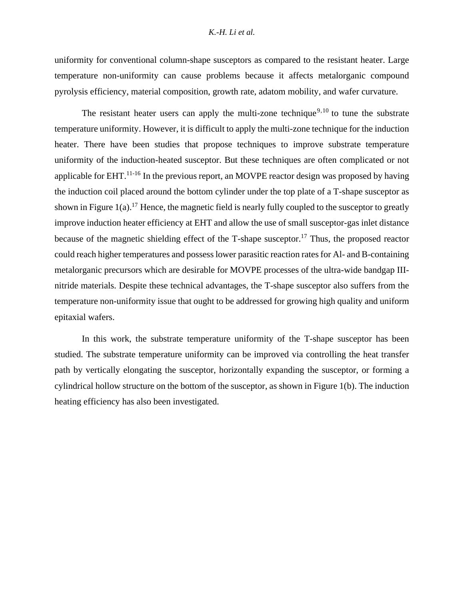uniformity for conventional column-shape susceptors as compared to the resistant heater. Large temperature non-uniformity can cause problems because it affects metalorganic compound pyrolysis efficiency, material composition, growth rate, adatom mobility, and wafer curvature.

<span id="page-2-0"></span>The resistant heater users can apply the multi-zone technique<sup>9,10</sup> to tune the substrate temperature uniformity. However, it is difficult to apply the multi-zone technique for the induction heater. There have been studies that propose techniques to improve substrate temperature uniformity of the induction-heated susceptor. But these techniques are often complicated or not applicable for EHT.<sup>11-16</sup> In the previous report, an MOVPE reactor design was proposed by having the induction coil placed around the bottom cylinder under the top plate of a T-shape susceptor as shown in Figure  $1(a)$ .<sup>17</sup> Hence, the magnetic field is nearly fully coupled to the susceptor to greatly improve induction heater efficiency at EHT and allow the use of small susceptor-gas inlet distance because of the magnetic shielding effect of the T-shape susceptor.<sup>[17](#page-2-0)</sup> Thus, the proposed reactor could reach higher temperatures and possess lower parasitic reaction rates for Al- and B-containing metalorganic precursors which are desirable for MOVPE processes of the ultra-wide bandgap IIInitride materials. Despite these technical advantages, the T-shape susceptor also suffers from the temperature non-uniformity issue that ought to be addressed for growing high quality and uniform epitaxial wafers.

In this work, the substrate temperature uniformity of the T-shape susceptor has been studied. The substrate temperature uniformity can be improved via controlling the heat transfer path by vertically elongating the susceptor, horizontally expanding the susceptor, or forming a cylindrical hollow structure on the bottom of the susceptor, as shown in [Figure 1\(](#page-3-0)b). The induction heating efficiency has also been investigated.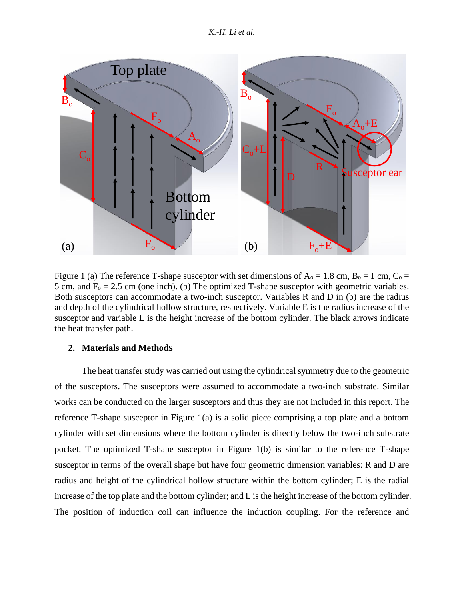*K.-H. Li et al.*



<span id="page-3-0"></span>Figure 1 (a) The reference T-shape susceptor with set dimensions of  $A_0 = 1.8$  cm,  $B_0 = 1$  cm,  $C_0 =$ 5 cm, and  $F_0 = 2.5$  cm (one inch). (b) The optimized T-shape susceptor with geometric variables. Both susceptors can accommodate a two-inch susceptor. Variables R and D in (b) are the radius and depth of the cylindrical hollow structure, respectively. Variable E is the radius increase of the susceptor and variable L is the height increase of the bottom cylinder. The black arrows indicate the heat transfer path.

# **2. Materials and Methods**

The heat transfer study was carried out using the cylindrical symmetry due to the geometric of the susceptors. The susceptors were assumed to accommodate a two-inch substrate. Similar works can be conducted on the larger susceptors and thus they are not included in this report. The reference T-shape susceptor in [Figure 1\(](#page-3-0)a) is a solid piece comprising a top plate and a bottom cylinder with set dimensions where the bottom cylinder is directly below the two-inch substrate pocket. The optimized T-shape susceptor in [Figure 1\(](#page-3-0)b) is similar to the reference T-shape susceptor in terms of the overall shape but have four geometric dimension variables: R and D are radius and height of the cylindrical hollow structure within the bottom cylinder; E is the radial increase of the top plate and the bottom cylinder; and L is the height increase of the bottom cylinder. The position of induction coil can influence the induction coupling. For the reference and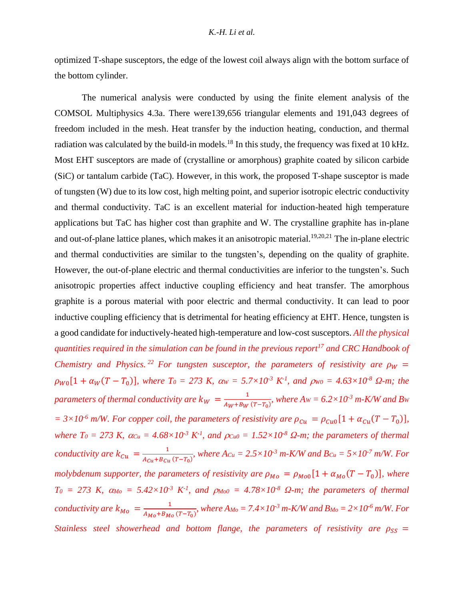optimized T-shape susceptors, the edge of the lowest coil always align with the bottom surface of the bottom cylinder.

The numerical analysis were conducted by using the finite element analysis of the COMSOL Multiphysics 4.3a. There were139,656 triangular elements and 191,043 degrees of freedom included in the mesh. Heat transfer by the induction heating, conduction, and thermal radiation was calculated by the build-in models.<sup>18</sup> In this study, the frequency was fixed at 10 kHz. Most EHT susceptors are made of (crystalline or amorphous) graphite coated by silicon carbide (SiC) or tantalum carbide (TaC). However, in this work, the proposed T-shape susceptor is made of tungsten (W) due to its low cost, high melting point, and superior isotropic electric conductivity and thermal conductivity. TaC is an excellent material for induction-heated high temperature applications but TaC has higher cost than graphite and W. The crystalline graphite has in-plane and out-of-plane lattice planes, which makes it an anisotropic material.<sup>19,20,21</sup> The in-plane electric and thermal conductivities are similar to the tungsten's, depending on the quality of graphite. However, the out-of-plane electric and thermal conductivities are inferior to the tungsten's. Such anisotropic properties affect inductive coupling efficiency and heat transfer. The amorphous graphite is a porous material with poor electric and thermal conductivity. It can lead to poor inductive coupling efficiency that is detrimental for heating efficiency at EHT. Hence, tungsten is a good candidate for inductively-heated high-temperature and low-cost susceptors. *All the physical quantities required in the simulation can be found in the previous report[17](#page-2-0) and CRC Handbook of Chemistry and Physics.* <sup>22</sup> *For tungsten susceptor, the parameters of resistivity are*  $\rho_W$  *=*  $\rho_{W0}[1 + \alpha_W(T - T_0)]$ , where  $T_0 = 273$  K,  $\alpha_W = 5.7 \times 10^{-3}$  K<sup>-1</sup>, and  $\rho_{W0} = 4.63 \times 10^{-8}$   $\Omega$ -m; the *parameters of thermal conductivity are*  $k_W = \frac{1}{4m + B_W}$  $\frac{1}{A_W+B_W(T-T_0)}$ , where  $Aw = 6.2 \times 10^{-3}$  *m-K/W and Bw*  $= 3 \times 10^{-6}$  m/W. For copper coil, the parameters of resistivity are  $\rho_{Cu} = \rho_{Cu0}[1 + \alpha_{Cu}(T - T_0)],$ *where T*<sup>0</sup> = 273 K,  $\alpha_{Cu}$  = 4.68×10<sup>-3</sup> K<sup>-1</sup>, and  $\rho_{Cu0}$  = 1.52×10<sup>-8</sup>  $\Omega$ -m; the parameters of thermal *conductivity are*  $k_{Cu} = \frac{1}{4c_0 + BC}$  $\frac{1}{A_{Cu}+B_{Cu}(T-T_0)}$ , where  $A_{Cu} = 2.5 \times 10^{-3}$  m-K/W and  $B_{Cu} = 5 \times 10^{-7}$  m/W. For *molybdenum supporter, the parameters of resistivity are*  $\rho_{Mo} = \rho_{Mo0}[1 + \alpha_{Mo}(T - T_0)]$ , where  $T_0 = 273$  K,  $\alpha_{M_0} = 5.42 \times 10^{3}$  K<sup>-1</sup>, and  $\rho_{M_00} = 4.78 \times 10^{8}$   $\Omega$ -m; the parameters of thermal *conductivity are*  $k_{M0} = \frac{1}{4(1 + R)^2}$  $\frac{1}{A_{Mo}+B_{Mo}(T-T_0)}$ , where  $A_{Mo} = 7.4 \times 10^{-3}$  m-K/W and  $B_{Mo} = 2 \times 10^{-6}$  m/W. For *Stainless steel showerhead and bottom flange, the parameters of resistivity are*  $\rho_{SS}$  *=*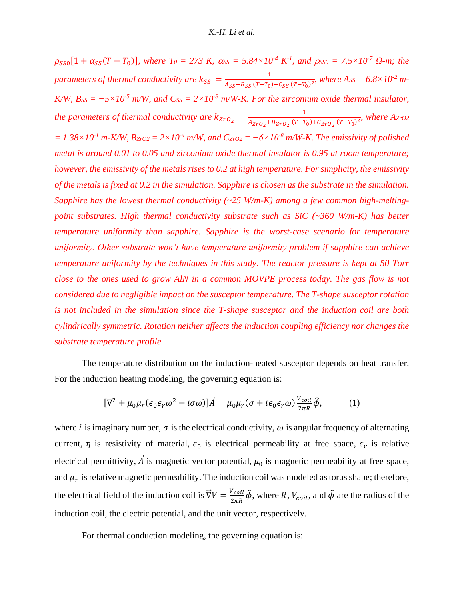$\rho_{SS0}[1 + \alpha_{SS}(T - T_0)]$ , where  $T_0 = 273$  K,  $\alpha_{SS} = 5.84 \times 10^{-4}$  K<sup>-1</sup>, and  $\rho_{SS0} = 7.5 \times 10^{-7}$   $\Omega$ -m; the *parameters of thermal conductivity are*  $k_{SS} = \frac{1}{4\text{c} \epsilon_0^4 R_{SS} (T-T_0)}$  $\frac{1}{A_{SS}+B_{SS}(T-T_0)+C_{SS}(T-T_0)^2}$ , where A<sub>SS</sub> = 6.8×10<sup>-2</sup> m-*K/W,*  $B_{SS} = -5 \times 10^{-5}$  *m/W, and*  $C_{SS} = 2 \times 10^{-8}$  *m/W-K. For the zirconium oxide thermal insulator, the parameters of thermal conductivity are*  $k_{ZTO_2} = \frac{1}{4750 \times 10^{-17}}$  $\frac{1}{A_{ZrO_2}+B_{ZrO_2}(T-T_0)+C_{ZrO_2}(T-T_0)^2}$ , where  $A_{ZrO2}$ *= 1.38×10-1 m-K/W, BZrO2 = 2×10-4 m/W, and CZrO2 = −6×10-8 m/W-K. The emissivity of polished metal is around 0.01 to 0.05 and zirconium oxide thermal insulator is 0.95 at room temperature; however, the emissivity of the metals rises to 0.2 at high temperature. For simplicity, the emissivity of the metals is fixed at 0.2 in the simulation. Sapphire is chosen as the substrate in the simulation. Sapphire has the lowest thermal conductivity (~25 W/m-K) among a few common high-meltingpoint substrates. High thermal conductivity substrate such as SiC (~360 W/m-K) has better temperature uniformity than sapphire. Sapphire is the worst-case scenario for temperature uniformity. Other substrate won't have temperature uniformity problem if sapphire can achieve temperature uniformity by the techniques in this study. The reactor pressure is kept at 50 Torr close to the ones used to grow AlN in a common MOVPE process today. The gas flow is not considered due to negligible impact on the susceptor temperature. The T-shape susceptor rotation is not included in the simulation since the T-shape susceptor and the induction coil are both cylindrically symmetric. Rotation neither affects the induction coupling efficiency nor changes the substrate temperature profile.*

The temperature distribution on the induction-heated susceptor depends on heat transfer. For the induction heating modeling, the governing equation is:

$$
[\nabla^2 + \mu_0 \mu_r (\epsilon_0 \epsilon_r \omega^2 - i \sigma \omega)]\vec{A} = \mu_0 \mu_r (\sigma + i \epsilon_0 \epsilon_r \omega) \frac{v_{\text{coil}}}{2\pi R} \hat{\phi},\tag{1}
$$

where *i* is imaginary number,  $\sigma$  is the electrical conductivity,  $\omega$  is angular frequency of alternating current,  $\eta$  is resistivity of material,  $\epsilon_0$  is electrical permeability at free space,  $\epsilon_r$  is relative electrical permittivity,  $\vec{A}$  is magnetic vector potential,  $\mu_0$  is magnetic permeability at free space, and  $\mu_r$  is relative magnetic permeability. The induction coil was modeled as torus shape; therefore, the electrical field of the induction coil is  $\vec{\nabla}V = \frac{V_{coil}}{2\pi\hbar}$  $\frac{V_{coil}}{2\pi R}\hat{\phi}$ , where R,  $V_{coil}$ , and  $\hat{\phi}$  are the radius of the induction coil, the electric potential, and the unit vector, respectively.

For thermal conduction modeling, the governing equation is: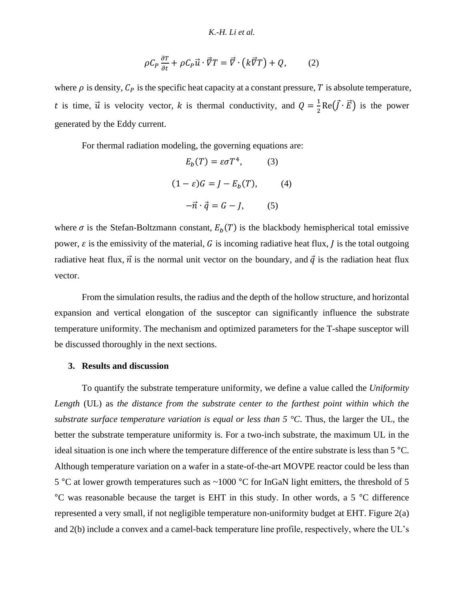$$
\rho C_P \frac{\partial T}{\partial t} + \rho C_P \vec{u} \cdot \vec{\nabla} T = \vec{\nabla} \cdot (k \vec{\nabla} T) + Q, \qquad (2)
$$

where  $\rho$  is density,  $C_P$  is the specific heat capacity at a constant pressure, T is absolute temperature, t is time,  $\vec{u}$  is velocity vector, k is thermal conductivity, and  $Q = \frac{1}{2}$  $\frac{1}{2}$ Re( $\vec{J} \cdot \vec{E}$ ) is the power generated by the Eddy current.

For thermal radiation modeling, the governing equations are:

$$
E_b(T) = \varepsilon \sigma T^4, \qquad (3)
$$

$$
(1 - \varepsilon)G = J - E_b(T), \qquad (4)
$$

$$
-\vec{n} \cdot \vec{q} = G - J, \qquad (5)
$$

where  $\sigma$  is the Stefan-Boltzmann constant,  $E_b(T)$  is the blackbody hemispherical total emissive power,  $\varepsilon$  is the emissivity of the material, G is incoming radiative heat flux, I is the total outgoing radiative heat flux,  $\vec{n}$  is the normal unit vector on the boundary, and  $\vec{q}$  is the radiation heat flux vector.

From the simulation results, the radius and the depth of the hollow structure, and horizontal expansion and vertical elongation of the susceptor can significantly influence the substrate temperature uniformity. The mechanism and optimized parameters for the T-shape susceptor will be discussed thoroughly in the next sections.

## **3. Results and discussion**

To quantify the substrate temperature uniformity, we define a value called the *Uniformity Length* (UL) as *the distance from the substrate center to the farthest point within which the substrate surface temperature variation is equal or less than 5 °C*. Thus, the larger the UL, the better the substrate temperature uniformity is. For a two-inch substrate, the maximum UL in the ideal situation is one inch where the temperature difference of the entire substrate is less than 5 °C. Although temperature variation on a wafer in a state-of-the-art MOVPE reactor could be less than 5 °C at lower growth temperatures such as ~1000 °C for InGaN light emitters, the threshold of 5 °C was reasonable because the target is EHT in this study. In other words, a 5 °C difference represented a very small, if not negligible temperature non-uniformity budget at EHT. [Figure 2\(](#page-7-0)a) and 2(b) include a convex and a camel-back temperature line profile, respectively, where the UL's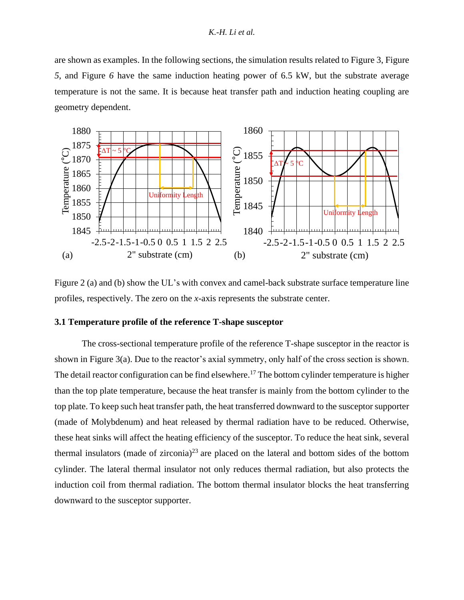are shown as examples. In the following sections, the simulation results related to [Figure 3,](#page-8-0) [Figure](#page-12-0) *[5](#page-12-0)*, and [Figure](#page-14-0) *6* have the same induction heating power of 6.5 kW, but the substrate average temperature is not the same. It is because heat transfer path and induction heating coupling are geometry dependent.



<span id="page-7-0"></span>Figure 2 (a) and (b) show the UL's with convex and camel-back substrate surface temperature line profiles, respectively. The zero on the *x*-axis represents the substrate center.

## **3.1 Temperature profile of the reference T-shape susceptor**

The cross-sectional temperature profile of the reference T-shape susceptor in the reactor is shown in [Figure 3\(](#page-8-0)a). Due to the reactor's axial symmetry, only half of the cross section is shown. The detail reactor configuration can be find elsewhere.<sup>[17](#page-2-0)</sup> The bottom cylinder temperature is higher than the top plate temperature, because the heat transfer is mainly from the bottom cylinder to the top plate. To keep such heat transfer path, the heat transferred downward to the susceptor supporter (made of Molybdenum) and heat released by thermal radiation have to be reduced. Otherwise, these heat sinks will affect the heating efficiency of the susceptor. To reduce the heat sink, several thermal insulators (made of zirconia)<sup>23</sup> are placed on the lateral and bottom sides of the bottom cylinder. The lateral thermal insulator not only reduces thermal radiation, but also protects the induction coil from thermal radiation. The bottom thermal insulator blocks the heat transferring downward to the susceptor supporter.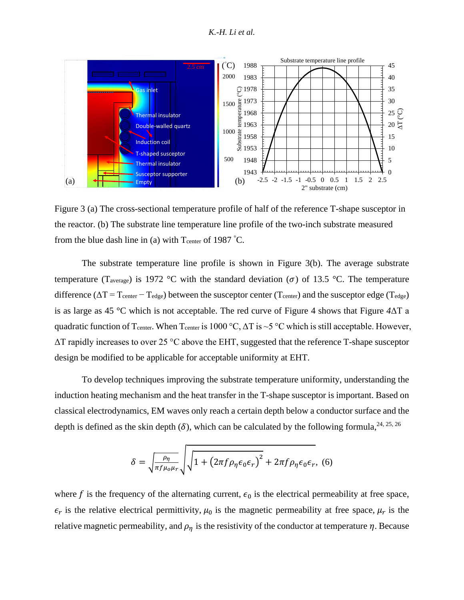

<span id="page-8-0"></span>Figure 3 (a) The cross-sectional temperature profile of half of the reference T-shape susceptor in the reactor. (b) The substrate line temperature line profile of the two-inch substrate measured from the blue dash line in (a) with  $T_{\text{center}}$  of 1987 °C.

The substrate temperature line profile is shown in [Figure 3\(](#page-8-0)b). The average substrate temperature (T<sub>average</sub>) is 1972 °C with the standard deviation ( $\sigma$ ) of 13.5 °C. The temperature difference ( $\Delta T = T_{\text{center}} - T_{\text{edge}}$ ) between the susceptor center ( $T_{\text{center}}$ ) and the susceptor edge ( $T_{\text{edge}}$ ) is as large as 45 °C which is not acceptable. The red curve of Figure 4 shows that [Figure](#page-9-0) *4*ΔT a quadratic function of T<sub>center</sub>. When T<sub>center</sub> is 1000 °C,  $\Delta T$  is ~5 °C which is still acceptable. However,  $\Delta T$  rapidly increases to over 25 °C above the EHT, suggested that the reference T-shape susceptor design be modified to be applicable for acceptable uniformity at EHT.

To develop techniques improving the substrate temperature uniformity, understanding the induction heating mechanism and the heat transfer in the T-shape susceptor is important. Based on classical electrodynamics, EM waves only reach a certain depth below a conductor surface and the depth is defined as the skin depth ( $\delta$ ), which can be calculated by the following formula, <sup>24, 25, 26</sup>

<span id="page-8-2"></span><span id="page-8-1"></span>
$$
\delta = \sqrt{\frac{\rho_{\eta}}{\pi f \mu_{o} \mu_{r}}} \sqrt{1 + \left(2\pi f \rho_{\eta} \epsilon_{0} \epsilon_{r}\right)^{2}} + 2\pi f \rho_{\eta} \epsilon_{0} \epsilon_{r}, \tag{6}
$$

where f is the frequency of the alternating current,  $\epsilon_0$  is the electrical permeability at free space,  $\epsilon_r$  is the relative electrical permittivity,  $\mu_0$  is the magnetic permeability at free space,  $\mu_r$  is the relative magnetic permeability, and  $\rho_n$  is the resistivity of the conductor at temperature  $\eta$ . Because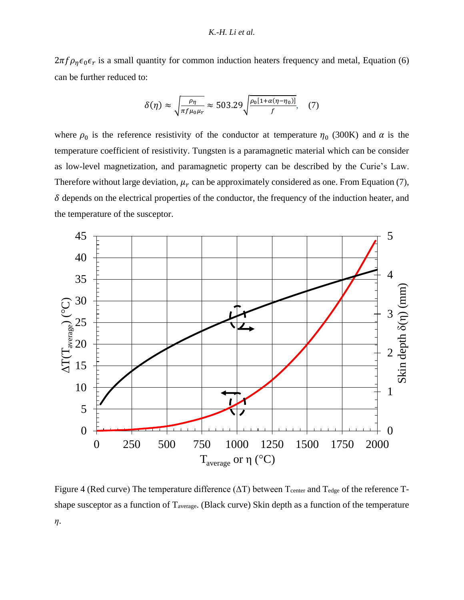$2\pi f \rho_{\eta} \epsilon_0 \epsilon_r$  is a small quantity for common induction heaters frequency and metal, Equation (6) can be further reduced to:

$$
\delta(\eta) \approx \sqrt{\frac{\rho_{\eta}}{\pi f \mu_0 \mu_r}} \approx 503.29 \sqrt{\frac{\rho_0 [1 + \alpha (\eta - \eta_0)]}{f}}, \quad (7)
$$

where  $\rho_0$  is the reference resistivity of the conductor at temperature  $\eta_0$  (300K) and  $\alpha$  is the temperature coefficient of resistivity. Tungsten is a paramagnetic material which can be consider as low-level magnetization, and paramagnetic property can be described by the Curie's Law. Therefore without large deviation,  $\mu_r$  can be approximately considered as one. From Equation (7),  $\delta$  depends on the electrical properties of the conductor, the frequency of the induction heater, and the temperature of the susceptor.



<span id="page-9-0"></span>Figure 4 (Red curve) The temperature difference  $(\Delta T)$  between T<sub>center</sub> and T<sub>edge</sub> of the reference Tshape susceptor as a function of Taverage. (Black curve) Skin depth as a function of the temperature *η*.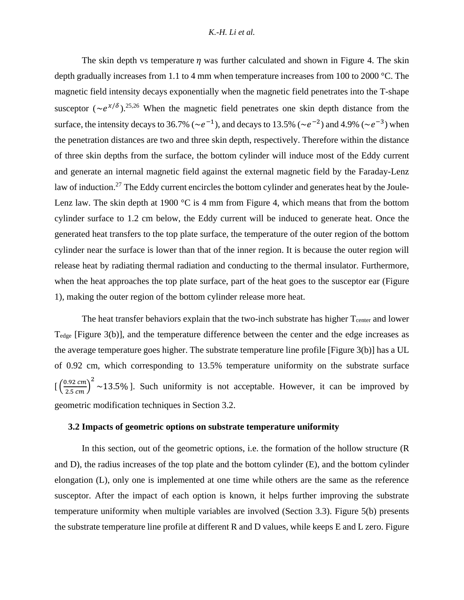The skin depth vs temperature  $\eta$  was further calculated and shown in [Figure 4.](#page-9-0) The skin depth gradually increases from 1.1 to 4 mm when temperature increases from 100 to 2000 °C. The magnetic field intensity decays exponentially when the magnetic field penetrates into the T-shape susceptor  $(\sim e^{x/\delta})$ .<sup>[25,](#page-8-1)[26](#page-8-2)</sup> When the magnetic field penetrates one skin depth distance from the surface, the intensity decays to 36.7% ( $\sim e^{-1}$ ), and decays to 13.5% ( $\sim e^{-2}$ ) and 4.9% ( $\sim e^{-3}$ ) when the penetration distances are two and three skin depth, respectively. Therefore within the distance of three skin depths from the surface, the bottom cylinder will induce most of the Eddy current and generate an internal magnetic field against the external magnetic field by the Faraday-Lenz law of induction.<sup>27</sup> The Eddy current encircles the bottom cylinder and generates heat by the Joule-Lenz law. The skin depth at 1900  $\degree$ C is 4 mm from [Figure 4,](#page-9-0) which means that from the bottom cylinder surface to 1.2 cm below, the Eddy current will be induced to generate heat. Once the generated heat transfers to the top plate surface, the temperature of the outer region of the bottom cylinder near the surface is lower than that of the inner region. It is because the outer region will release heat by radiating thermal radiation and conducting to the thermal insulator. Furthermore, when the heat approaches the top plate surface, part of the heat goes to the susceptor ear [\(Figure](#page-3-0)  [1\)](#page-3-0), making the outer region of the bottom cylinder release more heat.

The heat transfer behaviors explain that the two-inch substrate has higher T<sub>center</sub> and lower T<sub>edge</sub> [\[Figure 3\(](#page-8-0)b)], and the temperature difference between the center and the edge increases as the average temperature goes higher. The substrate temperature line profile [\[Figure 3\(](#page-8-0)b)] has a UL of 0.92 cm, which corresponding to 13.5% temperature uniformity on the substrate surface  $\left[ \left( \frac{0.92 \text{ cm}}{2.5 \text{ cm}} \right)^2 \sim 13.5\% \right]$ . Such uniformity is not acceptable. However, it can be improved by geometric modification techniques in Section 3.2.

## **3.2 Impacts of geometric options on substrate temperature uniformity**

In this section, out of the geometric options, i.e. the formation of the hollow structure (R and D), the radius increases of the top plate and the bottom cylinder (E), and the bottom cylinder elongation (L), only one is implemented at one time while others are the same as the reference susceptor. After the impact of each option is known, it helps further improving the substrate temperature uniformity when multiple variables are involved (Section 3.3). [Figure 5\(](#page-12-0)b) presents the substrate temperature line profile at different R and D values, while keeps E and L zero[. Figure](#page-12-0)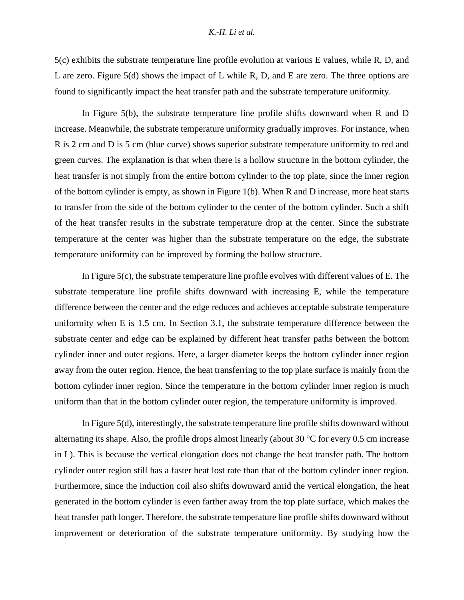[5\(](#page-12-0)c) exhibits the substrate temperature line profile evolution at various E values, while R, D, and L are zero. [Figure 5\(](#page-12-0)d) shows the impact of L while R, D, and E are zero. The three options are found to significantly impact the heat transfer path and the substrate temperature uniformity.

In [Figure 5\(](#page-12-0)b), the substrate temperature line profile shifts downward when R and D increase. Meanwhile, the substrate temperature uniformity gradually improves. For instance, when R is 2 cm and D is 5 cm (blue curve) shows superior substrate temperature uniformity to red and green curves. The explanation is that when there is a hollow structure in the bottom cylinder, the heat transfer is not simply from the entire bottom cylinder to the top plate, since the inner region of the bottom cylinder is empty, as shown in [Figure 1\(](#page-3-0)b). When R and D increase, more heat starts to transfer from the side of the bottom cylinder to the center of the bottom cylinder. Such a shift of the heat transfer results in the substrate temperature drop at the center. Since the substrate temperature at the center was higher than the substrate temperature on the edge, the substrate temperature uniformity can be improved by forming the hollow structure.

I[n Figure 5\(](#page-12-0)c), the substrate temperature line profile evolves with different values of E. The substrate temperature line profile shifts downward with increasing E, while the temperature difference between the center and the edge reduces and achieves acceptable substrate temperature uniformity when E is 1.5 cm. In Section 3.1, the substrate temperature difference between the substrate center and edge can be explained by different heat transfer paths between the bottom cylinder inner and outer regions. Here, a larger diameter keeps the bottom cylinder inner region away from the outer region. Hence, the heat transferring to the top plate surface is mainly from the bottom cylinder inner region. Since the temperature in the bottom cylinder inner region is much uniform than that in the bottom cylinder outer region, the temperature uniformity is improved.

I[n Figure 5\(](#page-12-0)d), interestingly, the substrate temperature line profile shifts downward without alternating its shape. Also, the profile drops almost linearly (about 30 °C for every 0.5 cm increase in L). This is because the vertical elongation does not change the heat transfer path. The bottom cylinder outer region still has a faster heat lost rate than that of the bottom cylinder inner region. Furthermore, since the induction coil also shifts downward amid the vertical elongation, the heat generated in the bottom cylinder is even farther away from the top plate surface, which makes the heat transfer path longer. Therefore, the substrate temperature line profile shifts downward without improvement or deterioration of the substrate temperature uniformity. By studying how the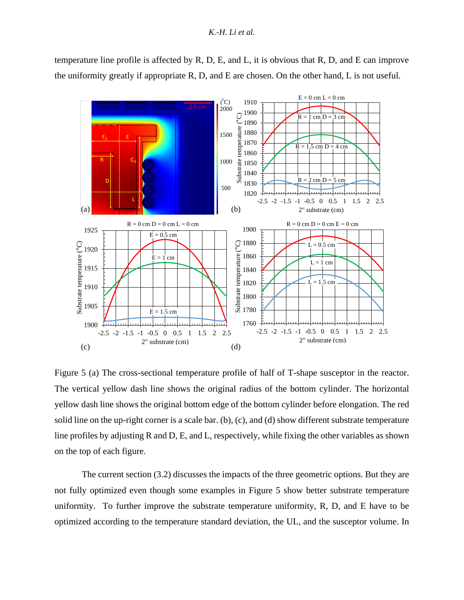temperature line profile is affected by R, D, E, and L, it is obvious that R, D, and E can improve the uniformity greatly if appropriate R, D, and E are chosen. On the other hand, L is not useful.



<span id="page-12-0"></span>Figure 5 (a) The cross-sectional temperature profile of half of T-shape susceptor in the reactor. The vertical yellow dash line shows the original radius of the bottom cylinder. The horizontal yellow dash line shows the original bottom edge of the bottom cylinder before elongation. The red solid line on the up-right corner is a scale bar. (b), (c), and (d) show different substrate temperature line profiles by adjusting R and D, E, and L, respectively, while fixing the other variables as shown on the top of each figure.

The current section (3.2) discusses the impacts of the three geometric options. But they are not fully optimized even though some examples in [Figure 5](#page-12-0) show better substrate temperature uniformity. To further improve the substrate temperature uniformity, R, D, and E have to be optimized according to the temperature standard deviation, the UL, and the susceptor volume. In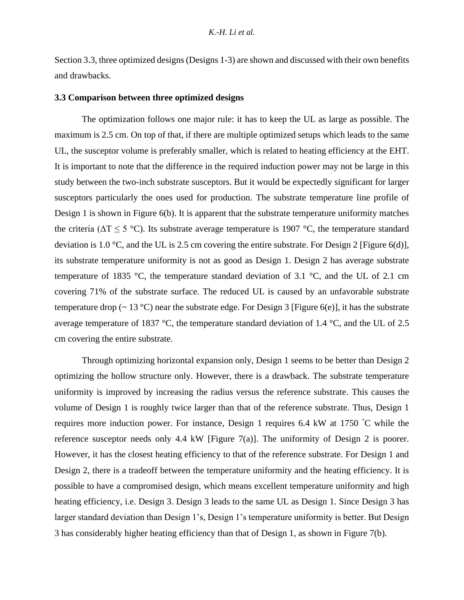Section 3.3, three optimized designs (Designs 1-3) are shown and discussed with their own benefits and drawbacks.

## **3.3 Comparison between three optimized designs**

The optimization follows one major rule: it has to keep the UL as large as possible. The maximum is 2.5 cm. On top of that, if there are multiple optimized setups which leads to the same UL, the susceptor volume is preferably smaller, which is related to heating efficiency at the EHT. It is important to note that the difference in the required induction power may not be large in this study between the two-inch substrate susceptors. But it would be expectedly significant for larger susceptors particularly the ones used for production. The substrate temperature line profile of Design 1 is shown in [Figure 6\(](#page-14-0)b). It is apparent that the substrate temperature uniformity matches the criteria ( $\Delta T \le 5$  °C). Its substrate average temperature is 1907 °C, the temperature standard deviation is 1.0 °C, and the UL is 2.5 cm covering the entire substrate. For Design 2 [\[Figure 6\(](#page-14-0)d)], its substrate temperature uniformity is not as good as Design 1. Design 2 has average substrate temperature of 1835 °C, the temperature standard deviation of 3.1 °C, and the UL of 2.1 cm covering 71% of the substrate surface. The reduced UL is caused by an unfavorable substrate temperature drop ( $\sim 13 \text{ °C}$ ) near the substrate edge. For Design 3 [\[Figure 6\(](#page-14-0)e)], it has the substrate average temperature of 1837 °C, the temperature standard deviation of 1.4 °C, and the UL of 2.5 cm covering the entire substrate.

Through optimizing horizontal expansion only, Design 1 seems to be better than Design 2 optimizing the hollow structure only. However, there is a drawback. The substrate temperature uniformity is improved by increasing the radius versus the reference substrate. This causes the volume of Design 1 is roughly twice larger than that of the reference substrate. Thus, Design 1 requires more induction power. For instance, Design 1 requires 6.4 kW at 1750 °C while the reference susceptor needs only 4.4 kW [\[Figure 7\(](#page-15-0)a)]. The uniformity of Design 2 is poorer. However, it has the closest heating efficiency to that of the reference substrate. For Design 1 and Design 2, there is a tradeoff between the temperature uniformity and the heating efficiency. It is possible to have a compromised design, which means excellent temperature uniformity and high heating efficiency, i.e. Design 3. Design 3 leads to the same UL as Design 1. Since Design 3 has larger standard deviation than Design 1's, Design 1's temperature uniformity is better. But Design 3 has considerably higher heating efficiency than that of Design 1, as shown in [Figure 7\(](#page-15-0)b).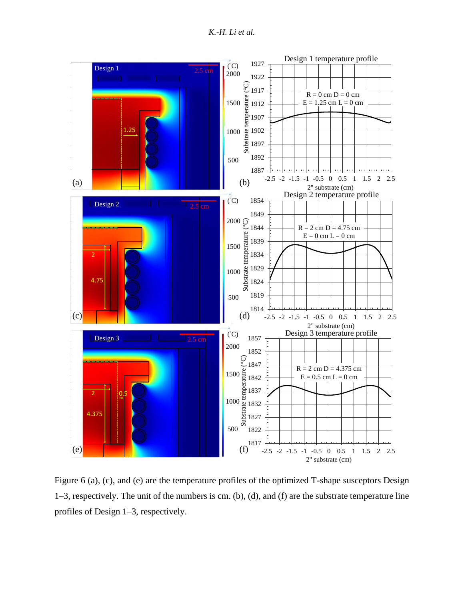*K.-H. Li et al.*



<span id="page-14-0"></span>Figure 6 (a), (c), and (e) are the temperature profiles of the optimized T-shape susceptors Design 1–3, respectively. The unit of the numbers is cm. (b), (d), and (f) are the substrate temperature line profiles of Design 1–3, respectively.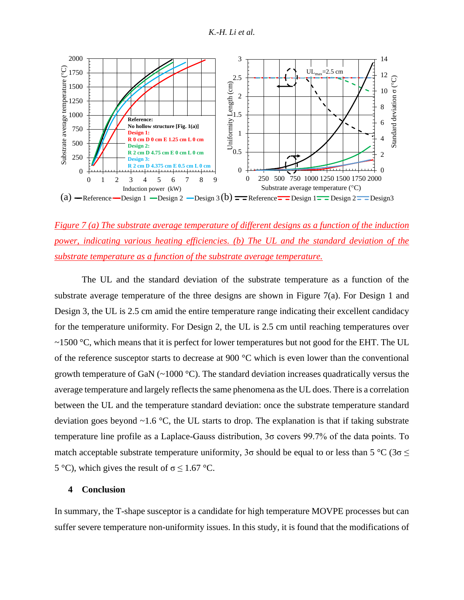

<span id="page-15-0"></span>*Figure 7 (a) The substrate average temperature of different designs as a function of the induction power, indicating various heating efficiencies. (b) The UL and the standard deviation of the substrate temperature as a function of the substrate average temperature.*

The UL and the standard deviation of the substrate temperature as a function of the substrate average temperature of the three designs are shown in [Figure 7\(](#page-15-0)a). For Design 1 and Design 3, the UL is 2.5 cm amid the entire temperature range indicating their excellent candidacy for the temperature uniformity. For Design 2, the UL is 2.5 cm until reaching temperatures over  $\sim$ 1500 °C, which means that it is perfect for lower temperatures but not good for the EHT. The UL of the reference susceptor starts to decrease at 900 °C which is even lower than the conventional growth temperature of GaN (~1000 °C). The standard deviation increases quadratically versus the average temperature and largely reflects the same phenomena as the UL does. There is a correlation between the UL and the temperature standard deviation: once the substrate temperature standard deviation goes beyond  $\sim$ 1.6 °C, the UL starts to drop. The explanation is that if taking substrate temperature line profile as a Laplace-Gauss distribution, 3σ covers 99.7% of the data points. To match acceptable substrate temperature uniformity,  $3\sigma$  should be equal to or less than  $5^{\circ}C$  ( $3\sigma \leq$ 5 °C), which gives the result of  $\sigma \le 1.67$  °C.

# **4 Conclusion**

In summary, the T-shape susceptor is a candidate for high temperature MOVPE processes but can suffer severe temperature non-uniformity issues. In this study, it is found that the modifications of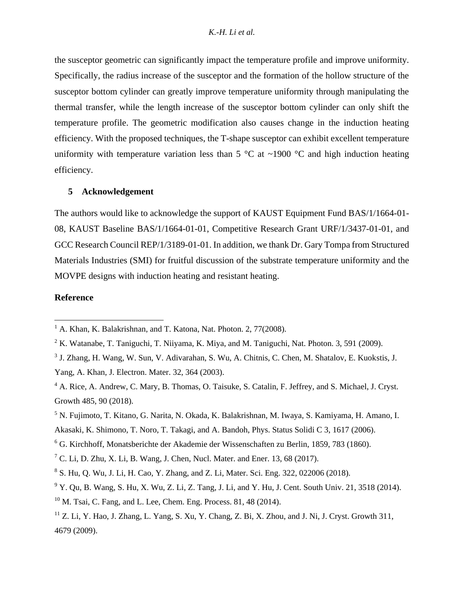the susceptor geometric can significantly impact the temperature profile and improve uniformity. Specifically, the radius increase of the susceptor and the formation of the hollow structure of the susceptor bottom cylinder can greatly improve temperature uniformity through manipulating the thermal transfer, while the length increase of the susceptor bottom cylinder can only shift the temperature profile. The geometric modification also causes change in the induction heating efficiency. With the proposed techniques, the T-shape susceptor can exhibit excellent temperature uniformity with temperature variation less than 5  $\degree$ C at ~1900  $\degree$ C and high induction heating efficiency.

## **5 Acknowledgement**

The authors would like to acknowledge the support of KAUST Equipment Fund BAS/1/1664-01- 08, KAUST Baseline BAS/1/1664-01-01, Competitive Research Grant URF/1/3437-01-01, and GCC Research Council REP/1/3189-01-01. In addition, we thank Dr. Gary Tompa from Structured Materials Industries (SMI) for fruitful discussion of the substrate temperature uniformity and the MOVPE designs with induction heating and resistant heating.

# **Reference**

 $<sup>1</sup>$  A. Khan, K. Balakrishnan, and T. Katona, Nat. Photon. 2, 77(2008).</sup>

 $2 K.$  Watanabe, T. Taniguchi, T. Niiyama, K. Miya, and M. Taniguchi, Nat. Photon. 3, 591 (2009).

<sup>&</sup>lt;sup>3</sup> J. Zhang, H. Wang, W. Sun, V. Adivarahan, S. Wu, A. Chitnis, C. Chen, M. Shatalov, E. Kuokstis, J. Yang, A. Khan, J. Electron. Mater. 32, 364 (2003).

<sup>4</sup> A. Rice, A. Andrew, C. Mary, B. Thomas, O. Taisuke, S. Catalin, F. Jeffrey, and S. Michael, J. Cryst. Growth 485, 90 (2018).

<sup>5</sup> N. Fujimoto, T. Kitano, G. Narita, N. Okada, K. Balakrishnan, M. Iwaya, S. Kamiyama, H. Amano, I. Akasaki, K. Shimono, T. Noro, T. Takagi, and A. Bandoh, Phys. Status Solidi C 3, 1617 (2006).

<sup>6</sup> G. Kirchhoff, Monatsberichte der Akademie der Wissenschaften zu Berlin, 1859, 783 (1860).

 $7$  C. Li, D. Zhu, X. Li, B. Wang, J. Chen, Nucl. Mater. and Ener. 13, 68 (2017).

<sup>8</sup> S. Hu, Q. Wu, J. Li, H. Cao, Y. Zhang, and Z. Li, Mater. Sci. Eng. 322, 022006 (2018).

 $9$  Y. Qu, B. Wang, S. Hu, X. Wu, Z. Li, Z. Tang, J. Li, and Y. Hu, J. Cent. South Univ. 21, 3518 (2014).

 $10$  M. Tsai, C. Fang, and L. Lee, Chem. Eng. Process, 81, 48 (2014).

 $11$  Z. Li, Y. Hao, J. Zhang, L. Yang, S. Xu, Y. Chang, Z. Bi, X. Zhou, and J. Ni, J. Cryst. Growth 311, 4679 (2009).